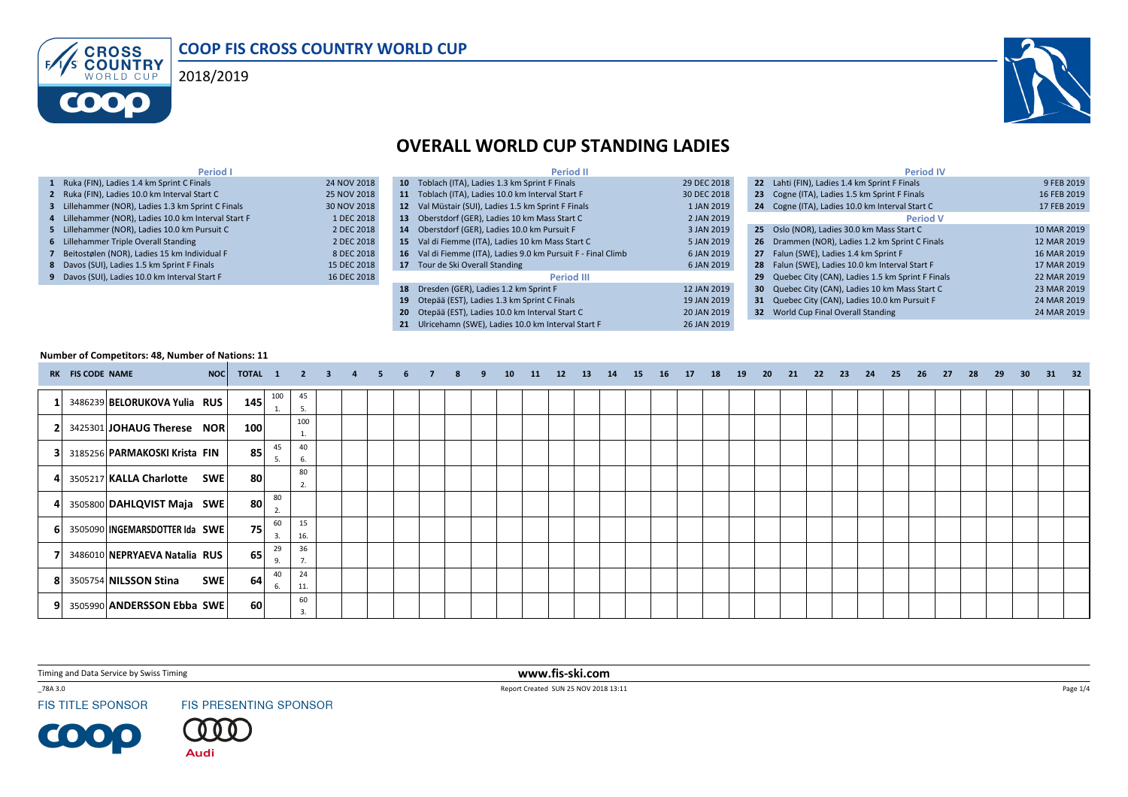





# OVERALL WORLD CUP STANDING LADIES

| Period I                                             |             | <b>Period II</b>                                              |             | <b>Period IV</b>                                    |             |
|------------------------------------------------------|-------------|---------------------------------------------------------------|-------------|-----------------------------------------------------|-------------|
| 1 Ruka (FIN), Ladies 1.4 km Sprint C Finals          | 24 NOV 2018 | 10 Toblach (ITA), Ladies 1.3 km Sprint F Finals               | 29 DEC 2018 | 22 Lahti (FIN), Ladies 1.4 km Sprint F Finals       | 9 FEB 2019  |
| 2 Ruka (FIN), Ladies 10.0 km Interval Start C        | 25 NOV 2018 | 11 Toblach (ITA), Ladies 10.0 km Interval Start F             | 30 DEC 2018 | 23 Cogne (ITA), Ladies 1.5 km Sprint F Finals       | 16 FEB 2019 |
| 3 Lillehammer (NOR), Ladies 1.3 km Sprint C Finals   | 30 NOV 2018 | 12 Val Müstair (SUI), Ladies 1.5 km Sprint F Finals           | 1 JAN 2019  | 24 Cogne (ITA), Ladies 10.0 km Interval Start C     | 17 FEB 2019 |
| 4 Lillehammer (NOR), Ladies 10.0 km Interval Start F | 1 DEC 2018  | 13 Oberstdorf (GER), Ladies 10 km Mass Start C                | 2 JAN 2019  | <b>Period V</b>                                     |             |
| 5 Lillehammer (NOR). Ladies 10.0 km Pursuit C        | 2 DEC 2018  | 14 Oberstdorf (GER). Ladies 10.0 km Pursuit F                 | 3 JAN 2019  | 25 Oslo (NOR), Ladies 30.0 km Mass Start C          | 10 MAR 2019 |
| 6 Lillehammer Triple Overall Standing                | 2 DEC 2018  | 15 Val di Fiemme (ITA), Ladies 10 km Mass Start C             | 5 JAN 2019  | 26 Drammen (NOR), Ladies 1.2 km Sprint C Finals     | 12 MAR 2019 |
| 7 Beitostølen (NOR), Ladies 15 km Individual F       | 8 DEC 2018  | 16 Val di Fiemme (ITA), Ladies 9.0 km Pursuit F - Final Climb | 6 JAN 2019  | 27 Falun (SWE), Ladies 1.4 km Sprint F              | 16 MAR 2019 |
| 8 Davos (SUI), Ladies 1.5 km Sprint F Finals         | 15 DEC 2018 | 17 Tour de Ski Overall Standing                               | 6 JAN 2019  | 28 Falun (SWE), Ladies 10.0 km Interval Start F     | 17 MAR 2019 |
| 9 Davos (SUI), Ladies 10.0 km Interval Start F       | 16 DEC 2018 | <b>Period III</b>                                             |             | 29 Quebec City (CAN), Ladies 1.5 km Sprint F Finals | 22 MAR 2019 |
|                                                      |             | 18 Dresden (GER), Ladies 1.2 km Sprint F                      | 12 JAN 2019 | 30 Quebec City (CAN), Ladies 10 km Mass Start C     | 23 MAR 2019 |
|                                                      |             | 19 Otepää (EST), Ladies 1.3 km Sprint C Finals                | 19 JAN 2019 | 31 Quebec City (CAN), Ladies 10.0 km Pursuit F      | 24 MAR 2019 |
|                                                      |             | 20 Otepää (EST). Ladies 10.0 km Interval Start C              | 20 JAN 2019 | 32 World Cup Final Overall Standing                 | 24 MAR 2019 |
|                                                      |             | 21 Ulricehamn (SWE), Ladies 10.0 km Interval Start F          | 26 JAN 2019 |                                                     |             |

#### Number of Competitors: 48, Number of Nations: 11

|    | RK FIS CODE NAME | NOC                                   | <b>TOTAL 1 2 3</b> |          |           |  | -5 | 6 | 7 | 8 | -9 | 10 | 11 | 12 | $-13$ | 14 | 15 | - 16 | 17 | 18 19 | 20 | 21 | 22 | 23 | 24 | 25 | 26 | 27 | - 28 | 29 | 30 <sup>°</sup> | 31 32 |  |
|----|------------------|---------------------------------------|--------------------|----------|-----------|--|----|---|---|---|----|----|----|----|-------|----|----|------|----|-------|----|----|----|----|----|----|----|----|------|----|-----------------|-------|--|
|    |                  | 3486239 BELORUKOVA Yulia RUS          | 145                | 100      | 45<br>5.  |  |    |   |   |   |    |    |    |    |       |    |    |      |    |       |    |    |    |    |    |    |    |    |      |    |                 |       |  |
| 21 |                  | 3425301 JOHAUG Therese NOR            | 100                |          | 100       |  |    |   |   |   |    |    |    |    |       |    |    |      |    |       |    |    |    |    |    |    |    |    |      |    |                 |       |  |
| 31 |                  | 3185256 PARMAKOSKI Krista FIN         | 85                 | 45<br>5. | 40<br>6.  |  |    |   |   |   |    |    |    |    |       |    |    |      |    |       |    |    |    |    |    |    |    |    |      |    |                 |       |  |
| 41 |                  | 3505217 KALLA Charlotte SWE           | 80                 |          | 80<br>2.  |  |    |   |   |   |    |    |    |    |       |    |    |      |    |       |    |    |    |    |    |    |    |    |      |    |                 |       |  |
|    |                  | 4 3505800 DAHLQVIST Maja SWE          | 80 l               | 80<br>2. |           |  |    |   |   |   |    |    |    |    |       |    |    |      |    |       |    |    |    |    |    |    |    |    |      |    |                 |       |  |
| 61 |                  | 3505090 INGEMARSDOTTER Ida SWE        | 75                 | 60<br>3. | 15<br>16. |  |    |   |   |   |    |    |    |    |       |    |    |      |    |       |    |    |    |    |    |    |    |    |      |    |                 |       |  |
|    |                  | 3486010 NEPRYAEVA Natalia RUS         | 65                 | 29<br>9. | 36<br>7.  |  |    |   |   |   |    |    |    |    |       |    |    |      |    |       |    |    |    |    |    |    |    |    |      |    |                 |       |  |
|    |                  | <b>SWE</b><br>8 3505754 NILSSON Stina | 64                 | 40<br>6. | 24<br>11. |  |    |   |   |   |    |    |    |    |       |    |    |      |    |       |    |    |    |    |    |    |    |    |      |    |                 |       |  |
|    |                  | 9 3505990 ANDERSSON Ebba SWE          | <b>60</b>          |          | 60        |  |    |   |   |   |    |    |    |    |       |    |    |      |    |       |    |    |    |    |    |    |    |    |      |    |                 |       |  |

Timing and Data Service by Swiss Timing

\_78A 3.0

**FIS TITLE SPONSOR** 

**COOP** 

FIS PRESENTING SPONSOR



 www.fis-ski.comReport Created SUN 25 NOV 2018 13:11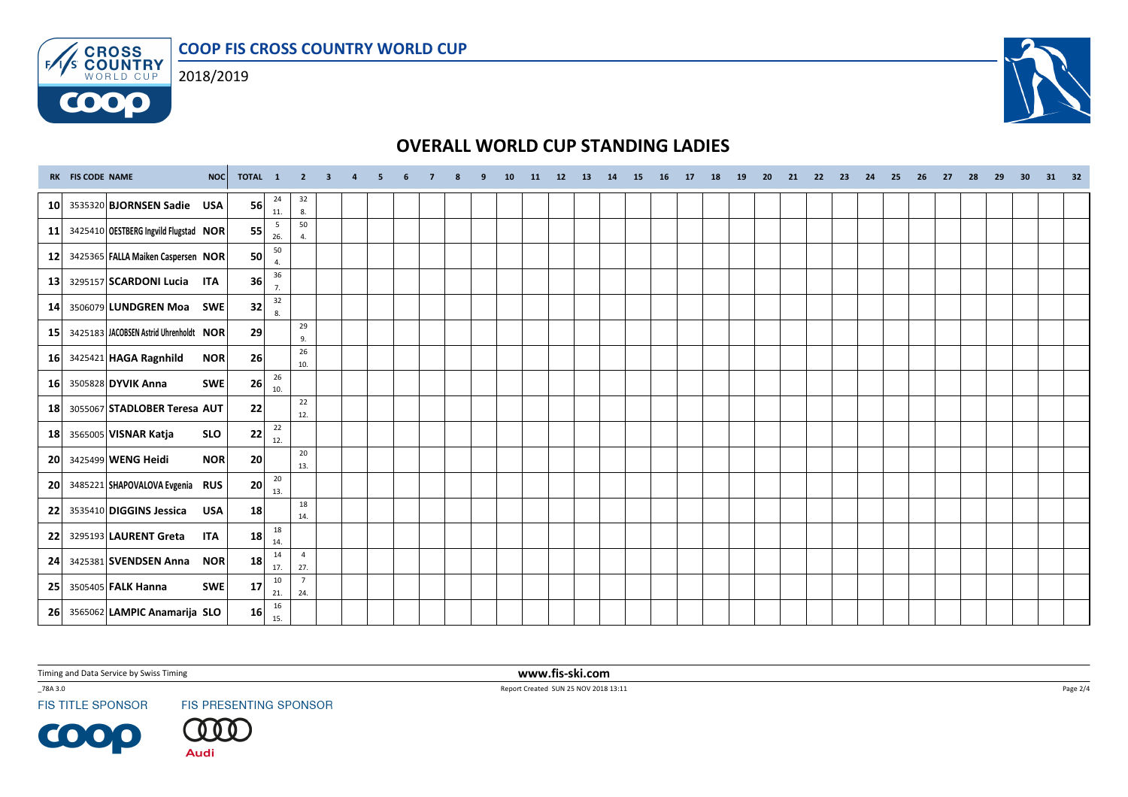COOP FIS CROSS COUNTRY WORLD CUP



**COOO** 



### OVERALL WORLD CUP STANDING LADIES

|                 | RK FIS CODE NAME | NOC                                    | TOTAL 1         |                      |                       | $2 \quad 3$ | $\overline{4}$ | 5 <sub>5</sub> | 6 | 8 | 9 | 10 | 11 12 13 | 14 | 15 | 16 | 17 18 | 19 | 20 | 21 | 22 23 | 24 | 25 | 26 | 27 | 28 | 29 | 30 <sub>2</sub> | 31 32 |  |
|-----------------|------------------|----------------------------------------|-----------------|----------------------|-----------------------|-------------|----------------|----------------|---|---|---|----|----------|----|----|----|-------|----|----|----|-------|----|----|----|----|----|----|-----------------|-------|--|
| 10 <sup>1</sup> |                  | 3535320 <b>BJORNSEN Sadie</b><br>USA   | 56              | 24<br>11.            | 32<br>8.              |             |                |                |   |   |   |    |          |    |    |    |       |    |    |    |       |    |    |    |    |    |    |                 |       |  |
| 11              |                  | 3425410 OESTBERG Ingvild Flugstad NOR  | 55              | 5<br>26.             | 50<br>4.              |             |                |                |   |   |   |    |          |    |    |    |       |    |    |    |       |    |    |    |    |    |    |                 |       |  |
| 12              |                  | 3425365 FALLA Maiken Caspersen NOR     | 50              | 50<br>$\overline{4}$ |                       |             |                |                |   |   |   |    |          |    |    |    |       |    |    |    |       |    |    |    |    |    |    |                 |       |  |
| 13              |                  | 3295157 SCARDONI Lucia ITA             | 36              | 36<br>7.             |                       |             |                |                |   |   |   |    |          |    |    |    |       |    |    |    |       |    |    |    |    |    |    |                 |       |  |
| 14              |                  | 3506079 LUNDGREN Moa<br><b>SWE</b>     | 32              | 32<br>$\mathbf{8}$   |                       |             |                |                |   |   |   |    |          |    |    |    |       |    |    |    |       |    |    |    |    |    |    |                 |       |  |
| 15              |                  | 3425183 JACOBSEN Astrid Uhrenholdt NOR | 29              |                      | 29<br>9.              |             |                |                |   |   |   |    |          |    |    |    |       |    |    |    |       |    |    |    |    |    |    |                 |       |  |
| 16 <sup>1</sup> |                  | 3425421 HAGA Ragnhild<br><b>NOR</b>    | 26              |                      | 26<br>10.             |             |                |                |   |   |   |    |          |    |    |    |       |    |    |    |       |    |    |    |    |    |    |                 |       |  |
| 16              |                  | 3505828 DYVIK Anna<br>SWE              | 26              | 26<br>10.            |                       |             |                |                |   |   |   |    |          |    |    |    |       |    |    |    |       |    |    |    |    |    |    |                 |       |  |
| 18              |                  | 3055067 STADLOBER Teresa AUT           | 22              |                      | 22<br>12.             |             |                |                |   |   |   |    |          |    |    |    |       |    |    |    |       |    |    |    |    |    |    |                 |       |  |
| 18              |                  | 3565005 VISNAR Katja<br><b>SLO</b>     | 22              | 22<br>12.            |                       |             |                |                |   |   |   |    |          |    |    |    |       |    |    |    |       |    |    |    |    |    |    |                 |       |  |
| 20 <sub>l</sub> |                  | 3425499 WENG Heidi<br><b>NOR</b>       | 20              |                      | 20<br>13.             |             |                |                |   |   |   |    |          |    |    |    |       |    |    |    |       |    |    |    |    |    |    |                 |       |  |
| <b>20</b>       |                  | 3485221 SHAPOVALOVA Evgenia RUS        | 20              | 20<br>13.            |                       |             |                |                |   |   |   |    |          |    |    |    |       |    |    |    |       |    |    |    |    |    |    |                 |       |  |
| 22              |                  | 3535410 DIGGINS Jessica<br>USA         | 18              |                      | 18<br>14.             |             |                |                |   |   |   |    |          |    |    |    |       |    |    |    |       |    |    |    |    |    |    |                 |       |  |
| 22              |                  | 3295193 LAURENT Greta<br><b>ITA</b>    | 18              | 18<br>14.            |                       |             |                |                |   |   |   |    |          |    |    |    |       |    |    |    |       |    |    |    |    |    |    |                 |       |  |
| 24              |                  | 3425381 SVENDSEN Anna NOR              | 18              | 14<br>17.            | $\overline{4}$<br>27. |             |                |                |   |   |   |    |          |    |    |    |       |    |    |    |       |    |    |    |    |    |    |                 |       |  |
| 25              |                  | 3505405 FALK Hanna<br>SWE              | 17              | 10<br>21.            | $\overline{7}$<br>24. |             |                |                |   |   |   |    |          |    |    |    |       |    |    |    |       |    |    |    |    |    |    |                 |       |  |
| <b>26</b>       |                  | 3565062 LAMPIC Anamarija SLO           | 16 <sup>1</sup> | 16<br>15.            |                       |             |                |                |   |   |   |    |          |    |    |    |       |    |    |    |       |    |    |    |    |    |    |                 |       |  |

Timing and Data Service by Swiss Timing

\_78A 3.0

**FIS TITLE SPONSOR** 

**COOP** 

FIS PRESENTING SPONSOR



 www.fis-ski.comReport Created SUN 25 NOV 2018 13:11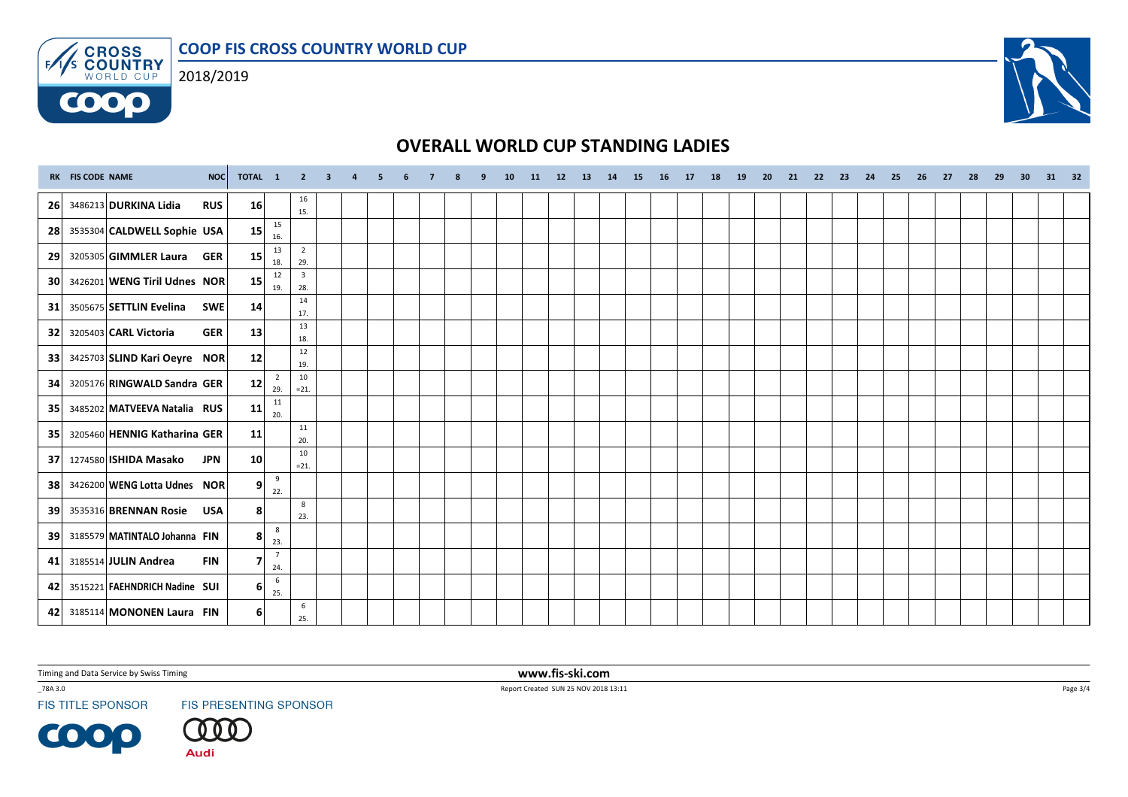COOP FIS CROSS COUNTRY WORLD CUP



**COOO** 



# OVERALL WORLD CUP STANDING LADIES

|                 | RK FIS CODE NAME | NOC                                        | TOTAL 1 2 3 4 5 |                        |                       |  | 6 | $\overline{7}$ | 9 | 10 | 11 12 13 |  |  | 14 15 16 17 18 |  | 19 20 |  |  |  | 21  22  23  24  25  26  27  28  29 |  | 30 31 32 |  |
|-----------------|------------------|--------------------------------------------|-----------------|------------------------|-----------------------|--|---|----------------|---|----|----------|--|--|----------------|--|-------|--|--|--|------------------------------------|--|----------|--|
| 26              |                  | 3486213 DURKINA Lidia<br><b>RUS</b>        | 16              |                        | 16<br>15.             |  |   |                |   |    |          |  |  |                |  |       |  |  |  |                                    |  |          |  |
| 28              |                  | 3535304 CALDWELL Sophie USA                | 15              | 15<br>16.              |                       |  |   |                |   |    |          |  |  |                |  |       |  |  |  |                                    |  |          |  |
| 29              |                  | 3205305 GIMMLER Laura<br><b>GER</b>        | 15              | 13<br>18.              | $\overline{2}$<br>29. |  |   |                |   |    |          |  |  |                |  |       |  |  |  |                                    |  |          |  |
| 30 <sup>1</sup> |                  | 3426201 WENG Tiril Udnes NOR               | 15              | 12<br>19.              | $\overline{3}$<br>28. |  |   |                |   |    |          |  |  |                |  |       |  |  |  |                                    |  |          |  |
| 31              |                  | 3505675 SETTLIN Evelina<br><b>SWE</b>      | 14              |                        | 14<br>17.             |  |   |                |   |    |          |  |  |                |  |       |  |  |  |                                    |  |          |  |
| 32              |                  | 3205403 <b>CARL Victoria</b><br><b>GER</b> | 13              |                        | 13<br>18.             |  |   |                |   |    |          |  |  |                |  |       |  |  |  |                                    |  |          |  |
| 33              |                  | 3425703 SLIND Kari Oeyre NOR               | 12              |                        | 12<br>19.             |  |   |                |   |    |          |  |  |                |  |       |  |  |  |                                    |  |          |  |
| 34              |                  | 3205176 RINGWALD Sandra GER                | 12              | $\overline{2}$<br>29.  | 10<br>$= 21.$         |  |   |                |   |    |          |  |  |                |  |       |  |  |  |                                    |  |          |  |
| 35              |                  | 3485202 MATVEEVA Natalia RUS               | 11              | 11<br>20.              |                       |  |   |                |   |    |          |  |  |                |  |       |  |  |  |                                    |  |          |  |
| 35 <sub>1</sub> |                  | 3205460 HENNIG Katharina GER               | 11              |                        | 11<br>20.             |  |   |                |   |    |          |  |  |                |  |       |  |  |  |                                    |  |          |  |
| 37              |                  | 1274580 ISHIDA Masako<br><b>JPN</b>        | 10 <sup>1</sup> |                        | 10<br>$= 21.$         |  |   |                |   |    |          |  |  |                |  |       |  |  |  |                                    |  |          |  |
| <b>38</b>       |                  | 3426200 WENG Lotta Udnes NOR               | 9               | 9<br>22.               |                       |  |   |                |   |    |          |  |  |                |  |       |  |  |  |                                    |  |          |  |
| 39              |                  | 3535316 BRENNAN Rosie<br><b>USA</b>        | 8 <sup>1</sup>  |                        | 8<br>23.              |  |   |                |   |    |          |  |  |                |  |       |  |  |  |                                    |  |          |  |
| 39              |                  | 3185579 MATINTALO Johanna FIN              | 8               | 8<br>23.               |                       |  |   |                |   |    |          |  |  |                |  |       |  |  |  |                                    |  |          |  |
| 41              |                  | 3185514 JULIN Andrea<br><b>FIN</b>         | $\overline{7}$  | $7\overline{ }$<br>24. |                       |  |   |                |   |    |          |  |  |                |  |       |  |  |  |                                    |  |          |  |
| 42              |                  | 3515221 FAEHNDRICH Nadine SUI              | 6 <sup>1</sup>  | 6<br>25.               |                       |  |   |                |   |    |          |  |  |                |  |       |  |  |  |                                    |  |          |  |
| 42              |                  | 3185114 MONONEN Laura FIN                  | 61              |                        | 6<br>25.              |  |   |                |   |    |          |  |  |                |  |       |  |  |  |                                    |  |          |  |

Timing and Data Service by Swiss Timing

\_78A 3.0

**FIS TITLE SPONSOR** 

**COOP** 

FIS PRESENTING SPONSOR



 www.fis-ski.comReport Created SUN 25 NOV 2018 13:11

Page 3/4